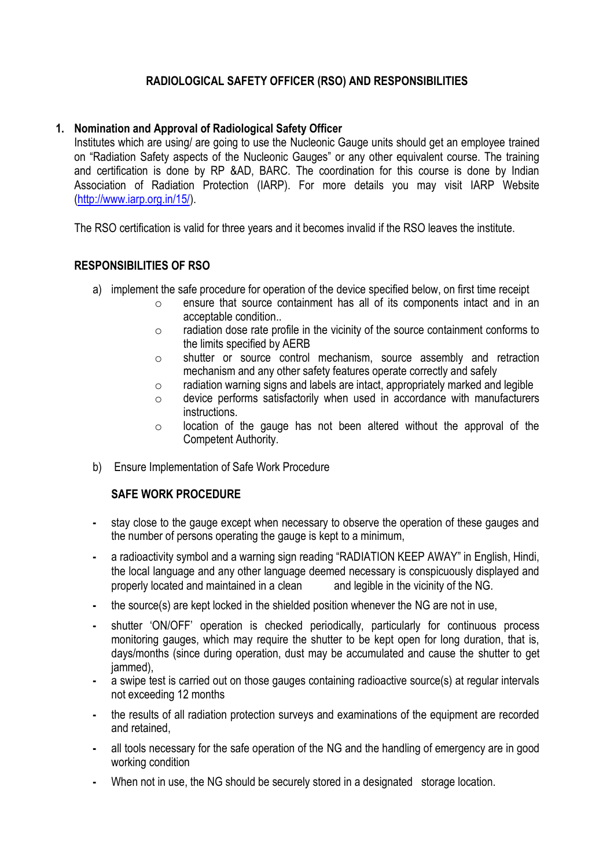# **RADIOLOGICAL SAFETY OFFICER (RSO) AND RESPONSIBILITIES**

## **1. Nomination and Approval of Radiological Safety Officer**

Institutes which are using/ are going to use the Nucleonic Gauge units should get an employee trained on "Radiation Safety aspects of the Nucleonic Gauges" or any other equivalent course. The training and certification is done by RP &AD, BARC. The coordination for this course is done by Indian Association of Radiation Protection (IARP). For more details you may visit IARP Website [\(http://www.iarp.org.in/15/\)](http://www.iarp.org.in/15/).

The RSO certification is valid for three years and it becomes invalid if the RSO leaves the institute.

## **RESPONSIBILITIES OF RSO**

- a) implement the safe procedure for operation of the device specified below, on first time receipt
	- o ensure that source containment has all of its components intact and in an acceptable condition..
	- o radiation dose rate profile in the vicinity of the source containment conforms to the limits specified by AERB
	- o shutter or source control mechanism, source assembly and retraction mechanism and any other safety features operate correctly and safely
	- o radiation warning signs and labels are intact, appropriately marked and legible
	- $\circ$  device performs satisfactorily when used in accordance with manufacturers instructions.
	- o location of the gauge has not been altered without the approval of the Competent Authority.
- b) Ensure Implementation of Safe Work Procedure

## **SAFE WORK PROCEDURE**

- **-** stay close to the gauge except when necessary to observe the operation of these gauges and the number of persons operating the gauge is kept to a minimum,
- **-** a radioactivity symbol and a warning sign reading "RADIATION KEEP AWAY" in English, Hindi, the local language and any other language deemed necessary is conspicuously displayed and properly located and maintained in a clean and legible in the vicinity of the NG.
- **-** the source(s) are kept locked in the shielded position whenever the NG are not in use,
- **-** shutter 'ON/OFF' operation is checked periodically, particularly for continuous process monitoring gauges, which may require the shutter to be kept open for long duration, that is, days/months (since during operation, dust may be accumulated and cause the shutter to get iammed).
- **-** a swipe test is carried out on those gauges containing radioactive source(s) at regular intervals not exceeding 12 months
- **-** the results of all radiation protection surveys and examinations of the equipment are recorded and retained,
- **-** all tools necessary for the safe operation of the NG and the handling of emergency are in good working condition
- **-** When not in use, the NG should be securely stored in a designated storage location.